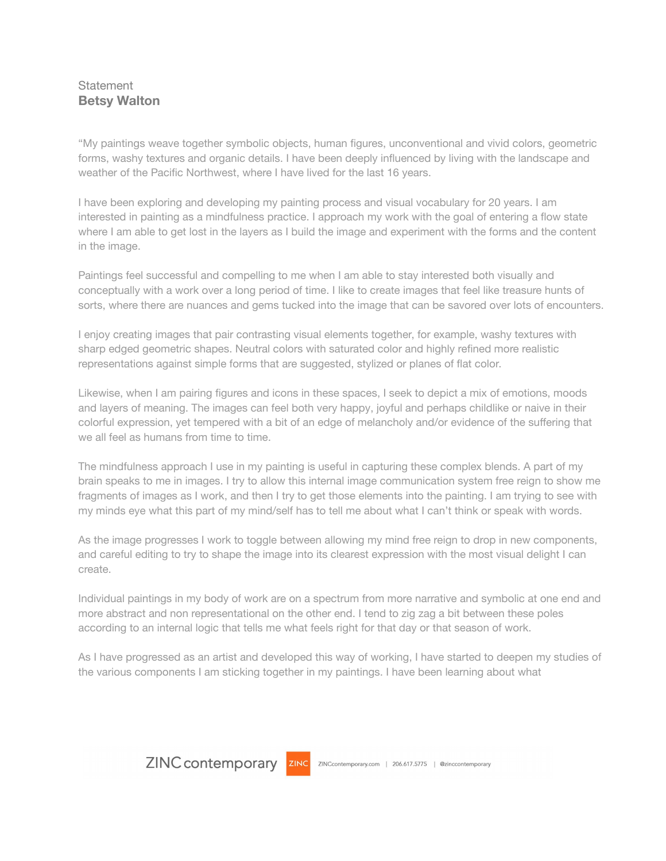## **Statement Betsy Walton**

"My paintings weave together symbolic objects, human figures, unconventional and vivid colors, geometric forms, washy textures and organic details. I have been deeply influenced by living with the landscape and weather of the Pacific Northwest, where I have lived for the last 16 years.

I have been exploring and developing my painting process and visual vocabulary for 20 years. I am interested in painting as a mindfulness practice. I approach my work with the goal of entering a flow state where I am able to get lost in the layers as I build the image and experiment with the forms and the content in the image.

Paintings feel successful and compelling to me when I am able to stay interested both visually and conceptually with a work over a long period of time. I like to create images that feel like treasure hunts of sorts, where there are nuances and gems tucked into the image that can be savored over lots of encounters.

I enjoy creating images that pair contrasting visual elements together, for example, washy textures with sharp edged geometric shapes. Neutral colors with saturated color and highly refined more realistic representations against simple forms that are suggested, stylized or planes of flat color.

Likewise, when I am pairing figures and icons in these spaces, I seek to depict a mix of emotions, moods and layers of meaning. The images can feel both very happy, joyful and perhaps childlike or naive in their colorful expression, yet tempered with a bit of an edge of melancholy and/or evidence of the suffering that we all feel as humans from time to time.

The mindfulness approach I use in my painting is useful in capturing these complex blends. A part of my brain speaks to me in images. I try to allow this internal image communication system free reign to show me fragments of images as I work, and then I try to get those elements into the painting. I am trying to see with my minds eye what this part of my mind/self has to tell me about what I can't think or speak with words.

As the image progresses I work to toggle between allowing my mind free reign to drop in new components, and careful editing to try to shape the image into its clearest expression with the most visual delight I can create.

Individual paintings in my body of work are on a spectrum from more narrative and symbolic at one end and more abstract and non representational on the other end. I tend to zig zag a bit between these poles according to an internal logic that tells me what feels right for that day or that season of work.

As I have progressed as an artist and developed this way of working, I have started to deepen my studies of the various components I am sticking together in my paintings. I have been learning about what